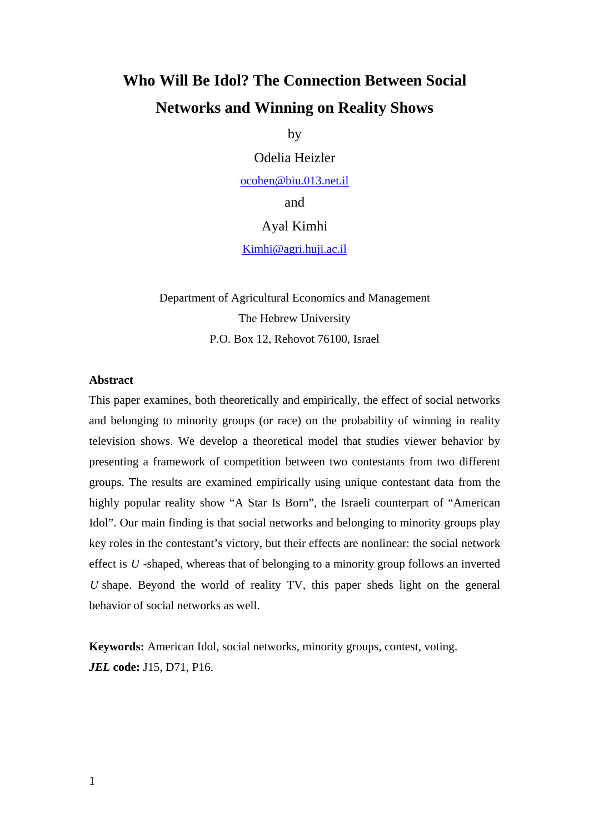# **Who Will Be Idol? The Connection Between Social Networks and Winning on Reality Shows**

by

Odelia Heizler

ocohen@biu.013.net.il

and

#### Ayal Kimhi

Kimhi@agri.huji.ac.il

Department of Agricultural Economics and Management The Hebrew University P.O. Box 12, Rehovot 76100, Israel

#### **Abstract**

This paper examines, both theoretically and empirically, the effect of social networks and belonging to minority groups (or race) on the probability of winning in reality television shows. We develop a theoretical model that studies viewer behavior by presenting a framework of competition between two contestants from two different groups. The results are examined empirically using unique contestant data from the highly popular reality show "A Star Is Born", the Israeli counterpart of "American Idol". Our main finding is that social networks and belonging to minority groups play key roles in the contestant's victory, but their effects are nonlinear: the social network effect is *U* -shaped, whereas that of belonging to a minority group follows an inverted *U* shape. Beyond the world of reality TV, this paper sheds light on the general behavior of social networks as well.

**Keywords:** American Idol, social networks, minority groups, contest, voting. *JEL* **code:** J15, D71, P16.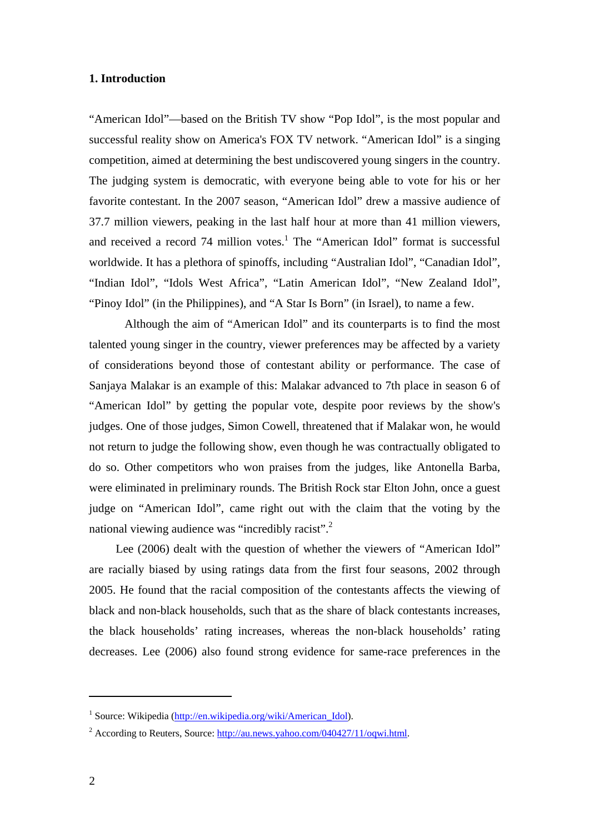#### **1. Introduction**

"American Idol"—based on the British TV show "Pop Idol", is the most popular and successful reality show on America's FOX TV network. "American Idol" is a singing competition, aimed at determining the best undiscovered young singers in the country. The judging system is democratic, with everyone being able to vote for his or her favorite contestant. In the 2007 season, "American Idol" drew a massive audience of 37.7 million viewers, peaking in the last half hour at more than 41 million viewers, and received a record  $74$  million votes.<sup>1</sup> The "American Idol" format is successful worldwide. It has a plethora of spinoffs, including "Australian Idol", "Canadian Idol", "Indian Idol", "Idols West Africa", "Latin American Idol", "New Zealand Idol", "Pinoy Idol" (in the Philippines), and "A Star Is Born" (in Israel), to name a few.

 Although the aim of "American Idol" and its counterparts is to find the most talented young singer in the country, viewer preferences may be affected by a variety of considerations beyond those of contestant ability or performance. The case of Sanjaya Malakar is an example of this: Malakar advanced to 7th place in season 6 of "American Idol" by getting the popular vote, despite poor reviews by the show's judges. One of those judges, Simon Cowell, threatened that if Malakar won, he would not return to judge the following show, even though he was contractually obligated to do so. Other competitors who won praises from the judges, like Antonella Barba, were eliminated in preliminary rounds. The British Rock star Elton John, once a guest judge on "American Idol", came right out with the claim that the voting by the national viewing audience was "incredibly racist".<sup>2</sup>

Lee (2006) dealt with the question of whether the viewers of "American Idol" are racially biased by using ratings data from the first four seasons, 2002 through 2005. He found that the racial composition of the contestants affects the viewing of black and non-black households, such that as the share of black contestants increases, the black households' rating increases, whereas the non-black households' rating decreases. Lee (2006) also found strong evidence for same-race preferences in the

<sup>&</sup>lt;sup>1</sup> Source: Wikipedia (http://en.wikipedia.org/wiki/American\_Idol).

<sup>&</sup>lt;sup>2</sup> According to Reuters, Source:  $\frac{http://au.news.yahoo.com/040427/11/oqwi.html.}$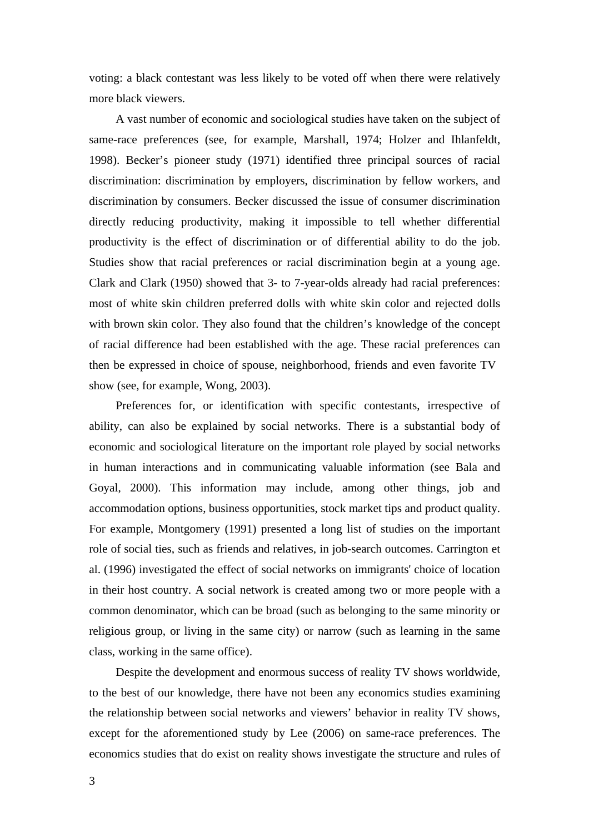voting: a black contestant was less likely to be voted off when there were relatively more black viewers.

A vast number of economic and sociological studies have taken on the subject of same-race preferences (see, for example, Marshall, 1974; Holzer and Ihlanfeldt, 1998). Becker's pioneer study (1971) identified three principal sources of racial discrimination: discrimination by employers, discrimination by fellow workers, and discrimination by consumers. Becker discussed the issue of consumer discrimination directly reducing productivity, making it impossible to tell whether differential productivity is the effect of discrimination or of differential ability to do the job. Studies show that racial preferences or racial discrimination begin at a young age. Clark and Clark (1950) showed that 3- to 7-year-olds already had racial preferences: most of white skin children preferred dolls with white skin color and rejected dolls with brown skin color. They also found that the children's knowledge of the concept of racial difference had been established with the age. These racial preferences can then be expressed in choice of spouse, neighborhood, friends and even favorite TV show (see, for example, Wong, 2003).

Preferences for, or identification with specific contestants, irrespective of ability, can also be explained by social networks. There is a substantial body of economic and sociological literature on the important role played by social networks in human interactions and in communicating valuable information (see Bala and Goyal, 2000). This information may include, among other things, job and accommodation options, business opportunities, stock market tips and product quality. For example, Montgomery (1991) presented a long list of studies on the important role of social ties, such as friends and relatives, in job-search outcomes. Carrington et al. (1996) investigated the effect of social networks on immigrants' choice of location in their host country. A social network is created among two or more people with a common denominator, which can be broad (such as belonging to the same minority or religious group, or living in the same city) or narrow (such as learning in the same class, working in the same office).

Despite the development and enormous success of reality TV shows worldwide, to the best of our knowledge, there have not been any economics studies examining the relationship between social networks and viewers' behavior in reality TV shows, except for the aforementioned study by Lee (2006) on same-race preferences. The economics studies that do exist on reality shows investigate the structure and rules of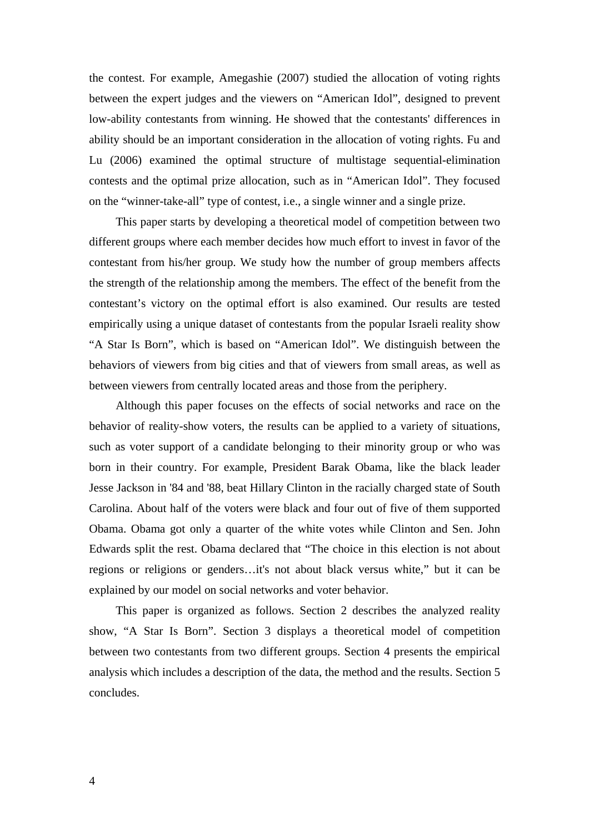the contest. For example, Amegashie (2007) studied the allocation of voting rights between the expert judges and the viewers on "American Idol", designed to prevent low-ability contestants from winning. He showed that the contestants' differences in ability should be an important consideration in the allocation of voting rights. Fu and Lu (2006) examined the optimal structure of multistage sequential-elimination contests and the optimal prize allocation, such as in "American Idol". They focused on the "winner-take-all" type of contest, i.e., a single winner and a single prize.

This paper starts by developing a theoretical model of competition between two different groups where each member decides how much effort to invest in favor of the contestant from his/her group. We study how the number of group members affects the strength of the relationship among the members. The effect of the benefit from the contestant's victory on the optimal effort is also examined. Our results are tested empirically using a unique dataset of contestants from the popular Israeli reality show "A Star Is Born", which is based on "American Idol". We distinguish between the behaviors of viewers from big cities and that of viewers from small areas, as well as between viewers from centrally located areas and those from the periphery.

Although this paper focuses on the effects of social networks and race on the behavior of reality-show voters, the results can be applied to a variety of situations, such as voter support of a candidate belonging to their minority group or who was born in their country. For example, President Barak Obama, like the black leader Jesse Jackson in '84 and '88, beat Hillary Clinton in the racially charged state of South Carolina. About half of the voters were black and four out of five of them supported Obama. Obama got only a quarter of the white votes while Clinton and Sen. John Edwards split the rest. Obama declared that "The choice in this election is not about regions or religions or genders…it's not about black versus white," but it can be explained by our model on social networks and voter behavior.

This paper is organized as follows. Section 2 describes the analyzed reality show, "A Star Is Born". Section 3 displays a theoretical model of competition between two contestants from two different groups. Section 4 presents the empirical analysis which includes a description of the data, the method and the results. Section 5 concludes.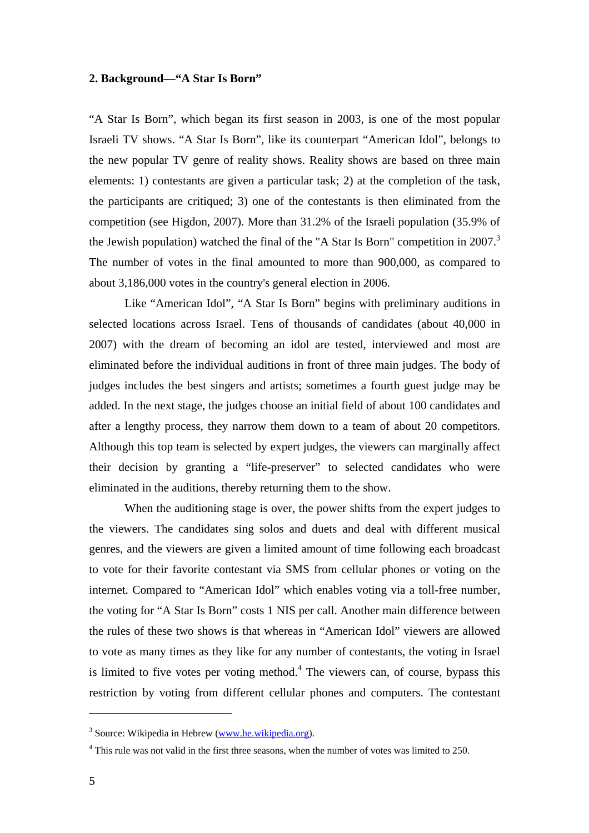#### **2. Background—"A Star Is Born"**

"A Star Is Born", which began its first season in 2003, is one of the most popular Israeli TV shows. "A Star Is Born", like its counterpart "American Idol", belongs to the new popular TV genre of reality shows. Reality shows are based on three main elements: 1) contestants are given a particular task; 2) at the completion of the task, the participants are critiqued; 3) one of the contestants is then eliminated from the competition (see Higdon, 2007). More than 31.2% of the Israeli population (35.9% of the Jewish population) watched the final of the "A Star Is Born" competition in  $2007$ .<sup>3</sup> The number of votes in the final amounted to more than 900,000, as compared to about 3,186,000 votes in the country's general election in 2006.

Like "American Idol", "A Star Is Born" begins with preliminary auditions in selected locations across Israel. Tens of thousands of candidates (about 40,000 in 2007) with the dream of becoming an idol are tested, interviewed and most are eliminated before the individual auditions in front of three main judges. The body of judges includes the best singers and artists; sometimes a fourth guest judge may be added. In the next stage, the judges choose an initial field of about 100 candidates and after a lengthy process, they narrow them down to a team of about 20 competitors. Although this top team is selected by expert judges, the viewers can marginally affect their decision by granting a "life-preserver" to selected candidates who were eliminated in the auditions, thereby returning them to the show.

When the auditioning stage is over, the power shifts from the expert judges to the viewers. The candidates sing solos and duets and deal with different musical genres, and the viewers are given a limited amount of time following each broadcast to vote for their favorite contestant via SMS from cellular phones or voting on the internet. Compared to "American Idol" which enables voting via a toll-free number, the voting for "A Star Is Born" costs 1 NIS per call. Another main difference between the rules of these two shows is that whereas in "American Idol" viewers are allowed to vote as many times as they like for any number of contestants, the voting in Israel is limited to five votes per voting method.<sup>4</sup> The viewers can, of course, bypass this restriction by voting from different cellular phones and computers. The contestant

<sup>&</sup>lt;sup>3</sup> Source: Wikipedia in Hebrew (www.he.wikipedia.org).

<sup>&</sup>lt;sup>4</sup> This rule was not valid in the first three seasons, when the number of votes was limited to 250.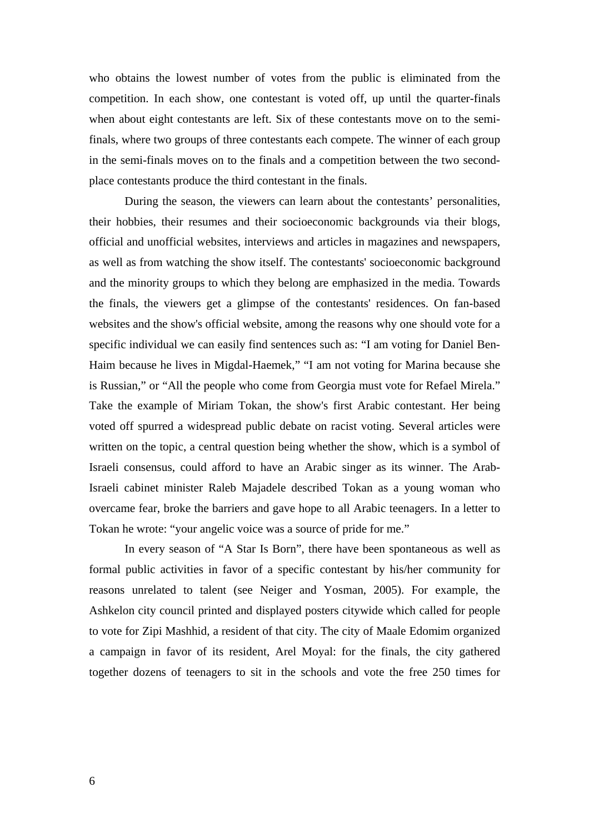who obtains the lowest number of votes from the public is eliminated from the competition. In each show, one contestant is voted off, up until the quarter-finals when about eight contestants are left. Six of these contestants move on to the semifinals, where two groups of three contestants each compete. The winner of each group in the semi-finals moves on to the finals and a competition between the two secondplace contestants produce the third contestant in the finals.

During the season, the viewers can learn about the contestants' personalities, their hobbies, their resumes and their socioeconomic backgrounds via their blogs, official and unofficial websites, interviews and articles in magazines and newspapers, as well as from watching the show itself. The contestants' socioeconomic background and the minority groups to which they belong are emphasized in the media. Towards the finals, the viewers get a glimpse of the contestants' residences. On fan-based websites and the show's official website, among the reasons why one should vote for a specific individual we can easily find sentences such as: "I am voting for Daniel Ben-Haim because he lives in Migdal-Haemek," "I am not voting for Marina because she is Russian," or "All the people who come from Georgia must vote for Refael Mirela." Take the example of Miriam Tokan, the show's first Arabic contestant. Her being voted off spurred a widespread public debate on racist voting. Several articles were written on the topic, a central question being whether the show, which is a symbol of Israeli consensus, could afford to have an Arabic singer as its winner. The Arab-Israeli cabinet minister Raleb Majadele described Tokan as a young woman who overcame fear, broke the barriers and gave hope to all Arabic teenagers. In a letter to Tokan he wrote: "your angelic voice was a source of pride for me."

In every season of "A Star Is Born", there have been spontaneous as well as formal public activities in favor of a specific contestant by his/her community for reasons unrelated to talent (see Neiger and Yosman, 2005). For example, the Ashkelon city council printed and displayed posters citywide which called for people to vote for Zipi Mashhid, a resident of that city. The city of Maale Edomim organized a campaign in favor of its resident, Arel Moyal: for the finals, the city gathered together dozens of teenagers to sit in the schools and vote the free 250 times for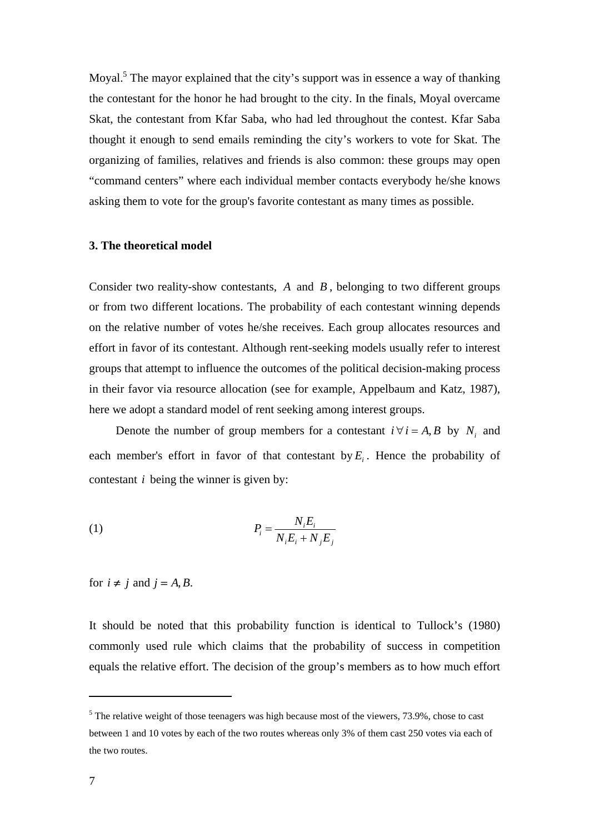Moyal.<sup>5</sup> The mayor explained that the city's support was in essence a way of thanking the contestant for the honor he had brought to the city. In the finals, Moyal overcame Skat, the contestant from Kfar Saba, who had led throughout the contest. Kfar Saba thought it enough to send emails reminding the city's workers to vote for Skat. The organizing of families, relatives and friends is also common: these groups may open "command centers" where each individual member contacts everybody he/she knows asking them to vote for the group's favorite contestant as many times as possible.

#### **3. The theoretical model**

Consider two reality-show contestants, *A* and *B* , belonging to two different groups or from two different locations. The probability of each contestant winning depends on the relative number of votes he/she receives. Each group allocates resources and effort in favor of its contestant. Although rent-seeking models usually refer to interest groups that attempt to influence the outcomes of the political decision-making process in their favor via resource allocation (see for example, Appelbaum and Katz, 1987), here we adopt a standard model of rent seeking among interest groups.

Denote the number of group members for a contestant  $i \forall i = A, B$  by *N<sub>i</sub>* and each member's effort in favor of that contestant by  $E_i$ . Hence the probability of contestant *i* being the winner is given by:

$$
(1) \t\t P_i = \frac{N_i E_i}{N_i E_i + N_j E_j}
$$

for  $i \neq j$  and  $j = A, B$ .

It should be noted that this probability function is identical to Tullock's (1980) commonly used rule which claims that the probability of success in competition equals the relative effort. The decision of the group's members as to how much effort

 $<sup>5</sup>$  The relative weight of those teenagers was high because most of the viewers, 73.9%, chose to cast</sup> between 1 and 10 votes by each of the two routes whereas only 3% of them cast 250 votes via each of the two routes.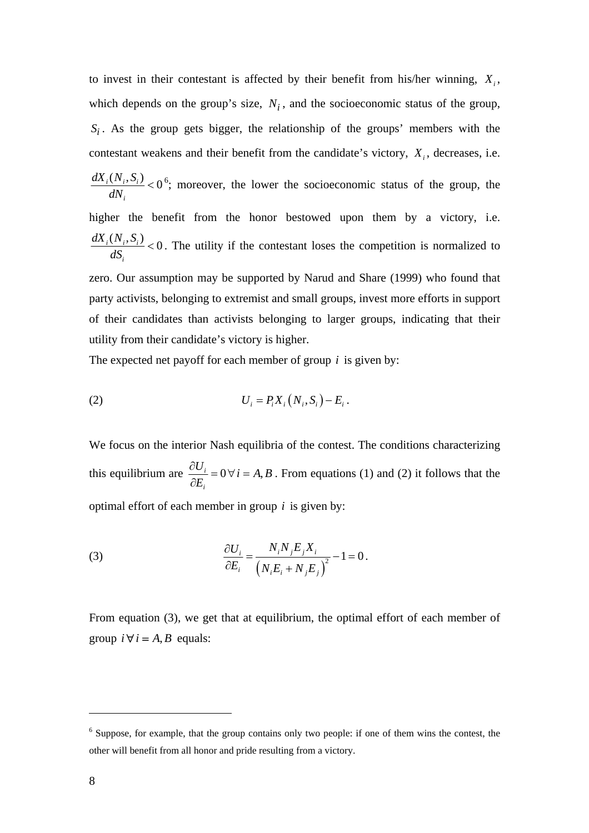to invest in their contestant is affected by their benefit from his/her winning,  $X_i$ , which depends on the group's size,  $N_i$ , and the socioeconomic status of the group,  $S_i$ . As the group gets bigger, the relationship of the groups' members with the contestant weakens and their benefit from the candidate's victory,  $X_i$ , decreases, i.e.  $\frac{i(N_i, S_i)}{N_i}$  < 0 *i*  $dX_i(N_i, S)$ *dN*  $0^6$ ; moreover, the lower the socioeconomic status of the group, the higher the benefit from the honor bestowed upon them by a victory, i.e.  $\frac{i(N_i, S_i)}{iN_i}$  < 0 *i*  $dX_i(N_i, S)$ *dS*  $< 0$ . The utility if the contestant loses the competition is normalized to zero. Our assumption may be supported by Narud and Share (1999) who found that party activists, belonging to extremist and small groups, invest more efforts in support of their candidates than activists belonging to larger groups, indicating that their utility from their candidate's victory is higher.

The expected net payoff for each member of group *i* is given by:

(2) 
$$
U_i = P_i X_i (N_i, S_i) - E_i.
$$

We focus on the interior Nash equilibria of the contest. The conditions characterizing this equilibrium are  $\frac{\partial u_i}{\partial x} = 0 \forall i = A$ , *i*  $\frac{U_i}{\sqrt{I}} = 0 \,\forall \, i = A, B$ *E*  $\frac{\partial U_i}{\partial E_i} = 0 \,\forall \, i = A, B$ . From equations (1) and (2) it follows that the optimal effort of each member in group *i* is given by:

(3) 
$$
\frac{\partial U_i}{\partial E_i} = \frac{N_i N_j E_j X_i}{(N_i E_i + N_j E_j)^2} - 1 = 0.
$$

From equation (3), we get that at equilibrium, the optimal effort of each member of group  $i \forall i = A, B$  equals:

<sup>&</sup>lt;sup>6</sup> Suppose, for example, that the group contains only two people: if one of them wins the contest, the other will benefit from all honor and pride resulting from a victory.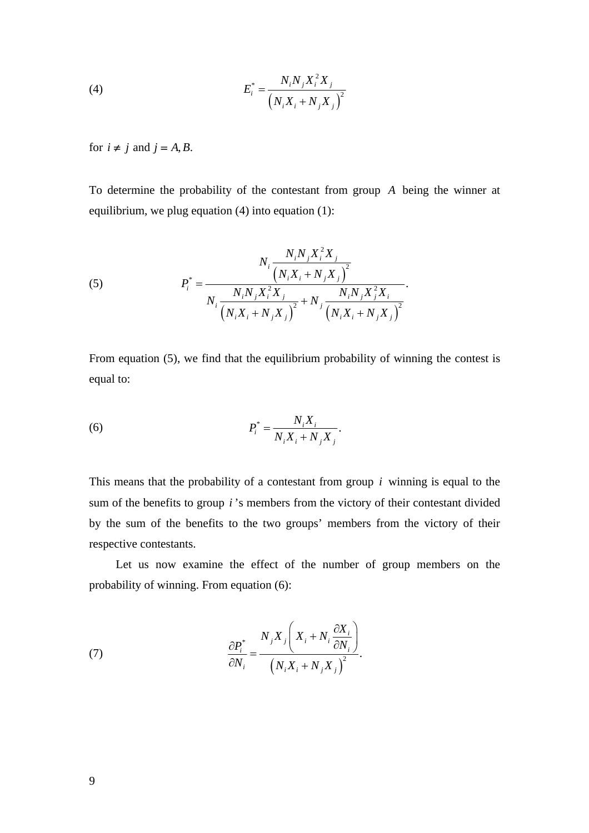(4) 
$$
E_i^* = \frac{N_i N_j X_i^2 X_j}{(N_i X_i + N_j X_j)^2}
$$

for  $i \neq j$  and  $j = A, B$ .

To determine the probability of the contestant from group *A* being the winner at equilibrium, we plug equation (4) into equation (1):

(5) 
$$
P_i^* = \frac{N_i N_j X_i^2 X_j}{N_i \frac{(N_i X_i + N_j X_j)^2}{(N_i X_i + N_j X_j)^2} + N_j \frac{N_i N_j X_j^2 X_i}{(N_i X_i + N_j X_j)^2}}.
$$

From equation (5), we find that the equilibrium probability of winning the contest is equal to:

(6) 
$$
P_i^* = \frac{N_i X_i}{N_i X_i + N_j X_j}.
$$

This means that the probability of a contestant from group *i* winning is equal to the sum of the benefits to group *i* 's members from the victory of their contestant divided by the sum of the benefits to the two groups' members from the victory of their respective contestants.

Let us now examine the effect of the number of group members on the probability of winning. From equation (6):

(7) 
$$
\frac{\partial P_i^*}{\partial N_i} = \frac{N_j X_j \left(X_i + N_i \frac{\partial X_i}{\partial N_i}\right)}{\left(N_i X_i + N_j X_j\right)^2}.
$$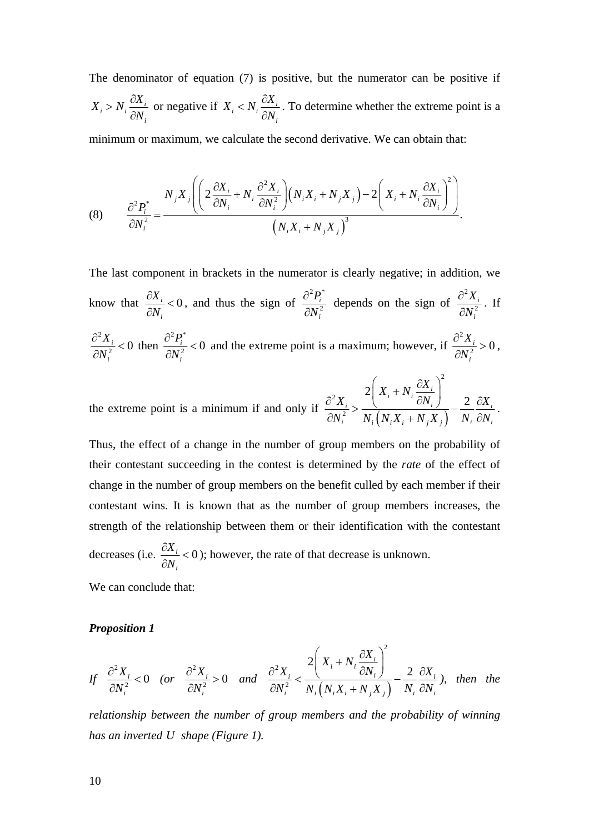The denominator of equation (7) is positive, but the numerator can be positive if  $i > N_i \frac{\partial X_i}{\partial x_i}$ *i*  $X_i > N_i \frac{\partial X}{\partial x_i}$ *N*  $> N_i \frac{\partial X_i}{\partial N_i}$  or negative if  $X_i < N_i \frac{\partial X_i}{\partial N_i}$ *i*  $X_i < N_i \frac{\partial X}{\partial x_i}$ *N*  $\langle N_i \frac{\partial X_i}{\partial N_i} \rangle$ . To determine whether the extreme point is a

minimum or maximum, we calculate the second derivative. We can obtain that:

(8) 
$$
\frac{\partial^2 P_i^*}{\partial N_i^2} = \frac{N_j X_j \left( \left( 2 \frac{\partial X_i}{\partial N_i} + N_i \frac{\partial^2 X_i}{\partial N_i^2} \right) \left( N_i X_i + N_j X_j \right) - 2 \left( X_i + N_i \frac{\partial X_i}{\partial N_i} \right)^2 \right)}{\left( N_i X_i + N_j X_j \right)^3}.
$$

The last component in brackets in the numerator is clearly negative; in addition, we know that  $\frac{U\Lambda_i}{2V} < 0$ *i X N*  $\frac{\partial X_i}{\partial N_i}$  < 0, and thus the sign of  $2\,$   $\mathbf{n}^*$ 2 *i i P N*  $\frac{\partial^2 P_i^*}{\partial N_i^2}$  depends on the sign of 2 2 *i i X N* ∂ ∂ . If 2  $\frac{i}{2}$  < 0 *i X N*  $\frac{\partial^2 X_i}{\partial x_i}$ ∂ then  $^2$   $\mathbf{D}^*$  $\frac{i}{2}$  < 0 *i P N*  $\frac{\partial^2 P_i^*}{\partial N_i^2}$  < 0 and the extreme point is a maximum; however, if 2  $\frac{i}{2} > 0$ *i X N*  $\frac{\partial^2 X_i}{\partial N_i^2} > 0,$ 2

the extreme point is a minimum if and only if  $\frac{\partial X_i}{\partial N_i^2} > \frac{C}{N_i ( N_i X_i + N_j X_j )}$ 2 2 2 2  $i + N_i \frac{\partial A_i}{\partial M}$  $i \sim$  (*i*  $\frac{U N_i}{i}$   $\frac{L}{i}$   $\frac{U N_i}{i}$ *i*  $I_{i} \left( I_{i} A_{i} + I_{j} A_{j} \right)$   $I_{i} O_{i}$  $X_i + N_i \frac{\partial X}{\partial x_i}$  $X_i$  <sup>(1, 1, 1, 1, 1, 2  $\partial X_i$ ) 2  $\partial X_i$ </sup>  $N_i^2$  *N*,  $(N_i X_i + N_i X_j)$  *N<sub>i</sub>*  $\partial N$  $\left(X_i + N_i \frac{\partial X_i}{\partial N}\right)$  $\frac{\partial^2 X_i}{\partial N_i^2} > \frac{\left(\frac{N_i}{N_i} + N_i\right)}{N_i \left(N_i X_i + N_i X_i\right)} - \frac{2}{N_i} \frac{\partial X_i}{\partial N_i}.$ 

Thus, the effect of a change in the number of group members on the probability of their contestant succeeding in the contest is determined by the *rate* of the effect of change in the number of group members on the benefit culled by each member if their contestant wins. It is known that as the number of group members increases, the strength of the relationship between them or their identification with the contestant decreases (i.e.  $\frac{\partial X_i}{\partial x_i} < 0$ *i N*  $\frac{\partial X_i}{\partial N_i}$  < 0 ); however, the rate of that decrease is unknown.

We can conclude that:

#### *Proposition 1*

$$
If \frac{\partial^2 X_i}{\partial N_i^2} < 0 \quad \text{(or} \quad \frac{\partial^2 X_i}{\partial N_i^2} > 0 \quad \text{and} \quad \frac{\partial^2 X_i}{\partial N_i^2} < \frac{2\left(X_i + N_i \frac{\partial X_i}{\partial N_i}\right)^2}{N_i \left(N_i X_i + N_j X_j\right)} - \frac{2}{N_i} \frac{\partial X_i}{\partial N_i}, \quad then \quad the
$$

*relationship between the number of group members and the probability of winning has an inverted U shape (Figure 1).*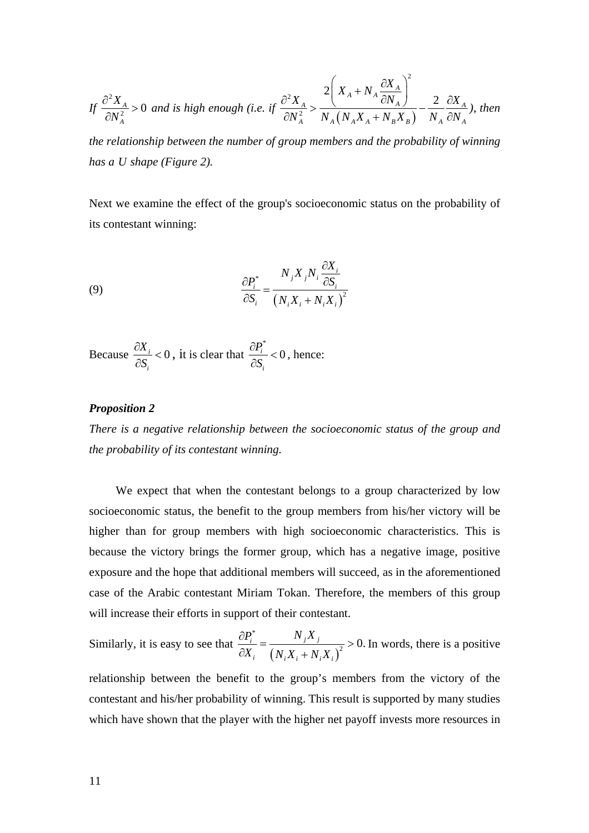$$
If \frac{\partial^2 X_A}{\partial N_A^2} > 0 \text{ and is high enough (i.e. if } \frac{\partial^2 X_A}{\partial N_A^2} > \frac{2\left(X_A + N_A \frac{\partial X_A}{\partial N_A}\right)^2}{N_A \left(N_A X_A + N_B X_B\right)} - \frac{2}{N_A} \frac{\partial X_A}{\partial N_A}, \text{ then}
$$

 $\sim$  2

*the relationship between the number of group members and the probability of winning has a U shape (Figure 2).* 

Next we examine the effect of the group's socioeconomic status on the probability of its contestant winning:

(9) 
$$
\frac{\partial P_i^*}{\partial S_i} = \frac{N_j X_j N_i \frac{\partial X_i}{\partial S_i}}{\left(N_i X_i + N_i X_i\right)^2}
$$

Because  $\frac{ax_i}{2a} < 0$ *i X S*  $\frac{\partial X_i}{\partial S_i}$  < 0, it is clear that  $\frac{\partial P_i^*}{\partial S_i}$  $\frac{i}{2}$  < 0 *i P S*  $\frac{\partial P_i^*}{\partial S_i}$  < 0, hence:

#### *Proposition 2*

*There is a negative relationship between the socioeconomic status of the group and the probability of its contestant winning.* 

We expect that when the contestant belongs to a group characterized by low socioeconomic status, the benefit to the group members from his/her victory will be higher than for group members with high socioeconomic characteristics. This is because the victory brings the former group, which has a negative image, positive exposure and the hope that additional members will succeed, as in the aforementioned case of the Arabic contestant Miriam Tokan. Therefore, the members of this group will increase their efforts in support of their contestant.

Similarly, it is easy to see that 
$$
\frac{\partial P_i^*}{\partial X_i} = \frac{N_j X_j}{(N_i X_i + N_i X_i)^2} > 0.
$$
 In words, there is a positive

relationship between the benefit to the group's members from the victory of the contestant and his/her probability of winning. This result is supported by many studies which have shown that the player with the higher net payoff invests more resources in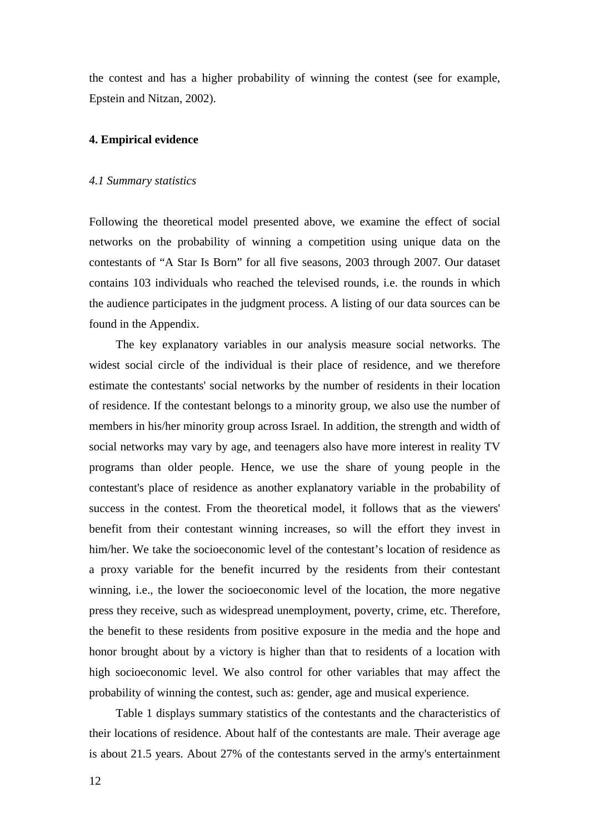the contest and has a higher probability of winning the contest (see for example, Epstein and Nitzan, 2002).

#### **4. Empirical evidence**

#### *4.1 Summary statistics*

Following the theoretical model presented above, we examine the effect of social networks on the probability of winning a competition using unique data on the contestants of "A Star Is Born" for all five seasons, 2003 through 2007. Our dataset contains 103 individuals who reached the televised rounds, i.e. the rounds in which the audience participates in the judgment process. A listing of our data sources can be found in the Appendix.

The key explanatory variables in our analysis measure social networks. The widest social circle of the individual is their place of residence, and we therefore estimate the contestants' social networks by the number of residents in their location of residence. If the contestant belongs to a minority group, we also use the number of members in his/her minority group across Israel*.* In addition, the strength and width of social networks may vary by age, and teenagers also have more interest in reality TV programs than older people. Hence, we use the share of young people in the contestant's place of residence as another explanatory variable in the probability of success in the contest. From the theoretical model, it follows that as the viewers' benefit from their contestant winning increases, so will the effort they invest in him/her. We take the socioeconomic level of the contestant's location of residence as a proxy variable for the benefit incurred by the residents from their contestant winning, i.e., the lower the socioeconomic level of the location, the more negative press they receive, such as widespread unemployment, poverty, crime, etc. Therefore, the benefit to these residents from positive exposure in the media and the hope and honor brought about by a victory is higher than that to residents of a location with high socioeconomic level. We also control for other variables that may affect the probability of winning the contest, such as: gender, age and musical experience.

Table 1 displays summary statistics of the contestants and the characteristics of their locations of residence. About half of the contestants are male. Their average age is about 21.5 years. About 27% of the contestants served in the army's entertainment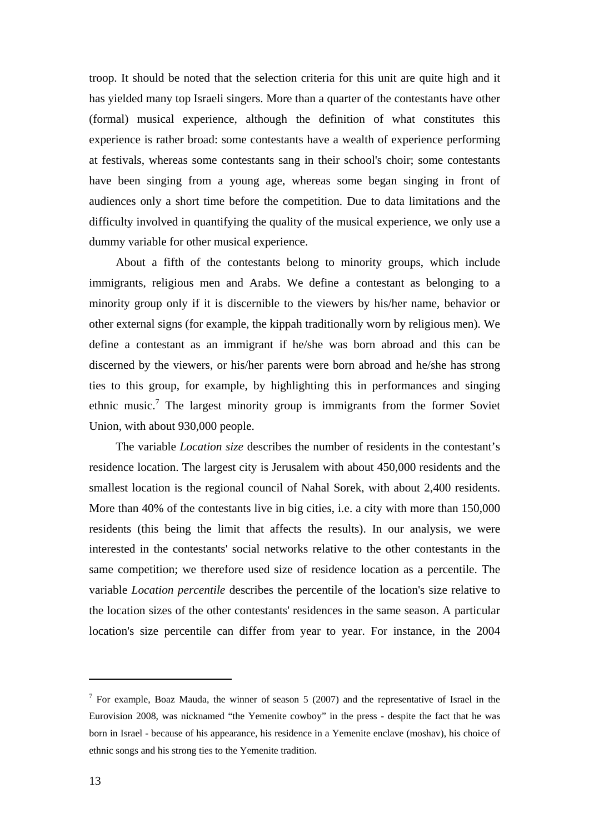troop. It should be noted that the selection criteria for this unit are quite high and it has yielded many top Israeli singers. More than a quarter of the contestants have other (formal) musical experience, although the definition of what constitutes this experience is rather broad: some contestants have a wealth of experience performing at festivals, whereas some contestants sang in their school's choir; some contestants have been singing from a young age, whereas some began singing in front of audiences only a short time before the competition. Due to data limitations and the difficulty involved in quantifying the quality of the musical experience, we only use a dummy variable for other musical experience.

About a fifth of the contestants belong to minority groups, which include immigrants, religious men and Arabs. We define a contestant as belonging to a minority group only if it is discernible to the viewers by his/her name, behavior or other external signs (for example, the kippah traditionally worn by religious men). We define a contestant as an immigrant if he/she was born abroad and this can be discerned by the viewers, or his/her parents were born abroad and he/she has strong ties to this group, for example, by highlighting this in performances and singing ethnic music.<sup>7</sup> The largest minority group is immigrants from the former Soviet Union, with about 930,000 people.

The variable *Location size* describes the number of residents in the contestant's residence location. The largest city is Jerusalem with about 450,000 residents and the smallest location is the regional council of Nahal Sorek, with about 2,400 residents. More than 40% of the contestants live in big cities, i.e. a city with more than 150,000 residents (this being the limit that affects the results). In our analysis, we were interested in the contestants' social networks relative to the other contestants in the same competition; we therefore used size of residence location as a percentile. The variable *Location percentile* describes the percentile of the location's size relative to the location sizes of the other contestants' residences in the same season. A particular location's size percentile can differ from year to year. For instance, in the 2004

<sup>&</sup>lt;sup>7</sup> For example, Boaz Mauda, the winner of season 5 (2007) and the representative of Israel in the Eurovision 2008, was nicknamed "the Yemenite cowboy" in the press - despite the fact that he was born in Israel - because of his appearance, his residence in a Yemenite enclave (moshav), his choice of ethnic songs and his strong ties to the Yemenite tradition.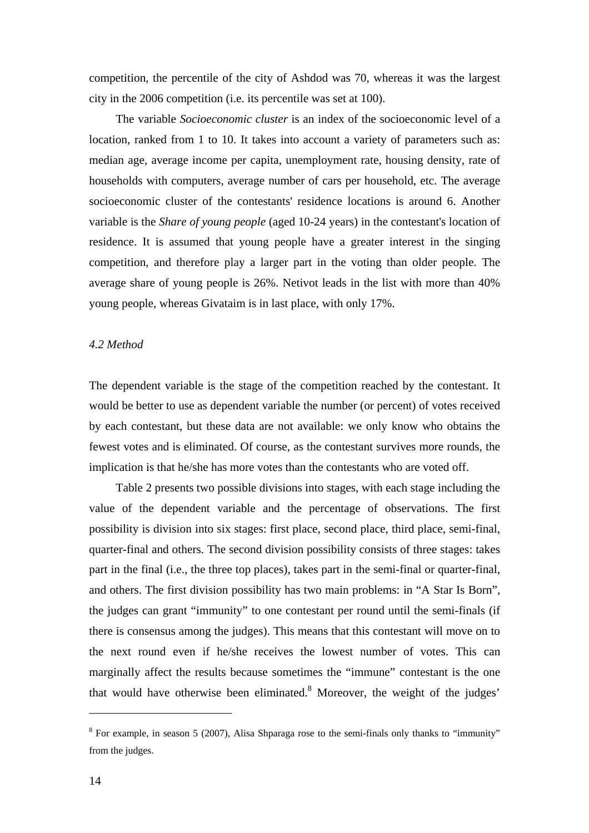competition, the percentile of the city of Ashdod was 70, whereas it was the largest city in the 2006 competition (i.e. its percentile was set at 100).

The variable *Socioeconomic cluster* is an index of the socioeconomic level of a location, ranked from 1 to 10. It takes into account a variety of parameters such as: median age, average income per capita, unemployment rate, housing density, rate of households with computers, average number of cars per household, etc. The average socioeconomic cluster of the contestants' residence locations is around 6. Another variable is the *Share of young people* (aged 10-24 years) in the contestant's location of residence. It is assumed that young people have a greater interest in the singing competition, and therefore play a larger part in the voting than older people. The average share of young people is 26%. Netivot leads in the list with more than 40% young people, whereas Givataim is in last place, with only 17%.

#### *4.2 Method*

The dependent variable is the stage of the competition reached by the contestant. It would be better to use as dependent variable the number (or percent) of votes received by each contestant, but these data are not available: we only know who obtains the fewest votes and is eliminated. Of course, as the contestant survives more rounds, the implication is that he/she has more votes than the contestants who are voted off.

Table 2 presents two possible divisions into stages, with each stage including the value of the dependent variable and the percentage of observations. The first possibility is division into six stages: first place, second place, third place, semi-final, quarter-final and others. The second division possibility consists of three stages: takes part in the final (i.e., the three top places), takes part in the semi-final or quarter-final, and others. The first division possibility has two main problems: in "A Star Is Born", the judges can grant "immunity" to one contestant per round until the semi-finals (if there is consensus among the judges). This means that this contestant will move on to the next round even if he/she receives the lowest number of votes. This can marginally affect the results because sometimes the "immune" contestant is the one that would have otherwise been eliminated. $8$  Moreover, the weight of the judges'

 $8$  For example, in season 5 (2007), Alisa Shparaga rose to the semi-finals only thanks to "immunity" from the judges.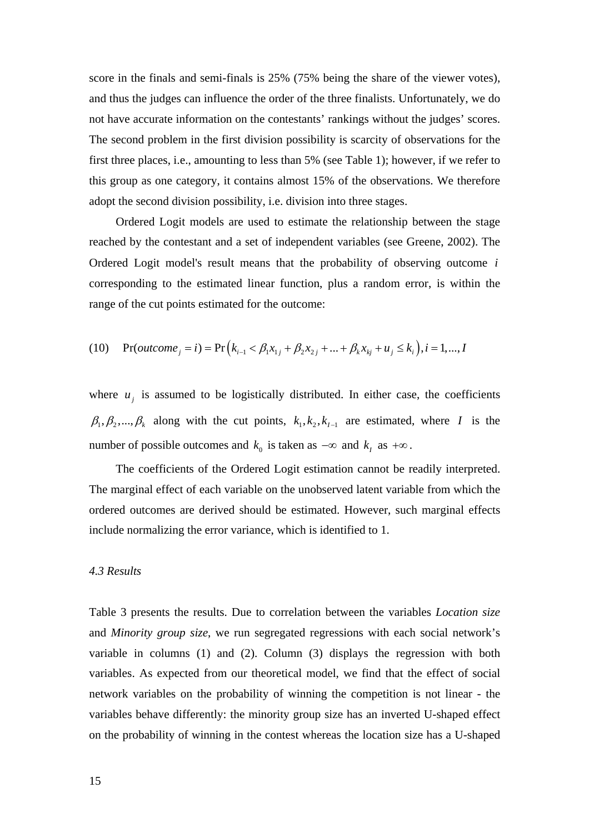score in the finals and semi-finals is 25% (75% being the share of the viewer votes), and thus the judges can influence the order of the three finalists. Unfortunately, we do not have accurate information on the contestants' rankings without the judges' scores. The second problem in the first division possibility is scarcity of observations for the first three places, i.e., amounting to less than 5% (see Table 1); however, if we refer to this group as one category, it contains almost 15% of the observations. We therefore adopt the second division possibility, i.e. division into three stages.

Ordered Logit models are used to estimate the relationship between the stage reached by the contestant and a set of independent variables (see Greene, 2002). The Ordered Logit model's result means that the probability of observing outcome *i* corresponding to the estimated linear function, plus a random error, is within the range of the cut points estimated for the outcome:

(10) 
$$
\Pr(outcome_j = i) = \Pr\left(k_{i-1} < \beta_1 x_{1j} + \beta_2 x_{2j} + \dots + \beta_k x_{kj} + u_j \le k_i\right), i = 1, \dots, l
$$

where  $u_i$  is assumed to be logistically distributed. In either case, the coefficients  $\beta_1, \beta_2, ..., \beta_k$  along with the cut points,  $k_1, k_2, k_{I-1}$  are estimated, where *I* is the number of possible outcomes and  $k_0$  is taken as  $-\infty$  and  $k_1$  as  $+\infty$ .

The coefficients of the Ordered Logit estimation cannot be readily interpreted. The marginal effect of each variable on the unobserved latent variable from which the ordered outcomes are derived should be estimated. However, such marginal effects include normalizing the error variance, which is identified to 1.

#### *4.3 Results*

Table 3 presents the results. Due to correlation between the variables *Location size* and *Minority group size*, we run segregated regressions with each social network's variable in columns (1) and (2). Column (3) displays the regression with both variables. As expected from our theoretical model, we find that the effect of social network variables on the probability of winning the competition is not linear - the variables behave differently: the minority group size has an inverted U-shaped effect on the probability of winning in the contest whereas the location size has a U-shaped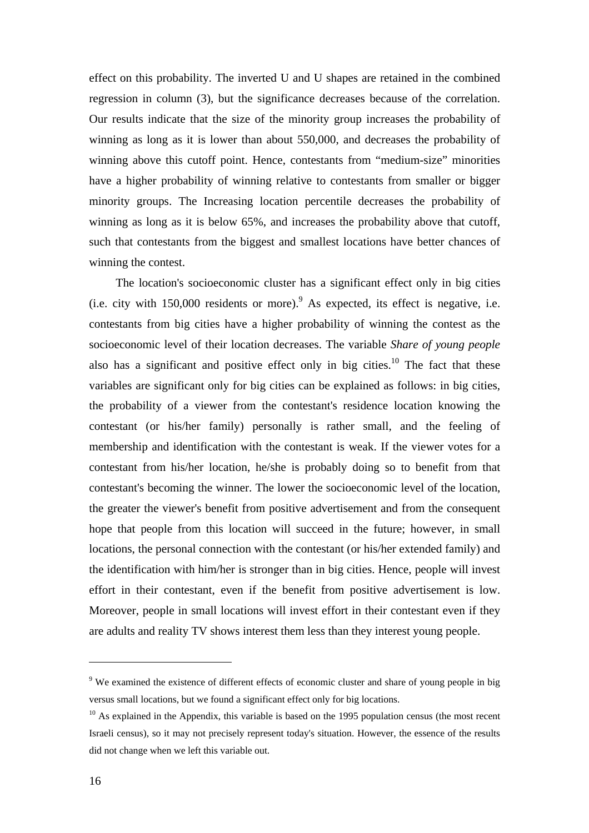effect on this probability. The inverted U and U shapes are retained in the combined regression in column (3), but the significance decreases because of the correlation. Our results indicate that the size of the minority group increases the probability of winning as long as it is lower than about 550,000, and decreases the probability of winning above this cutoff point. Hence, contestants from "medium-size" minorities have a higher probability of winning relative to contestants from smaller or bigger minority groups. The Increasing location percentile decreases the probability of winning as long as it is below 65%, and increases the probability above that cutoff, such that contestants from the biggest and smallest locations have better chances of winning the contest.

The location's socioeconomic cluster has a significant effect only in big cities (i.e. city with  $150,000$  residents or more). As expected, its effect is negative, i.e. contestants from big cities have a higher probability of winning the contest as the socioeconomic level of their location decreases. The variable *Share of young people* also has a significant and positive effect only in big cities.<sup>10</sup> The fact that these variables are significant only for big cities can be explained as follows: in big cities, the probability of a viewer from the contestant's residence location knowing the contestant (or his/her family) personally is rather small, and the feeling of membership and identification with the contestant is weak. If the viewer votes for a contestant from his/her location, he/she is probably doing so to benefit from that contestant's becoming the winner. The lower the socioeconomic level of the location, the greater the viewer's benefit from positive advertisement and from the consequent hope that people from this location will succeed in the future; however, in small locations, the personal connection with the contestant (or his/her extended family) and the identification with him/her is stronger than in big cities. Hence, people will invest effort in their contestant, even if the benefit from positive advertisement is low. Moreover, people in small locations will invest effort in their contestant even if they are adults and reality TV shows interest them less than they interest young people.

<sup>&</sup>lt;sup>9</sup> We examined the existence of different effects of economic cluster and share of young people in big versus small locations, but we found a significant effect only for big locations.

 $10$  As explained in the Appendix, this variable is based on the 1995 population census (the most recent Israeli census), so it may not precisely represent today's situation. However, the essence of the results did not change when we left this variable out.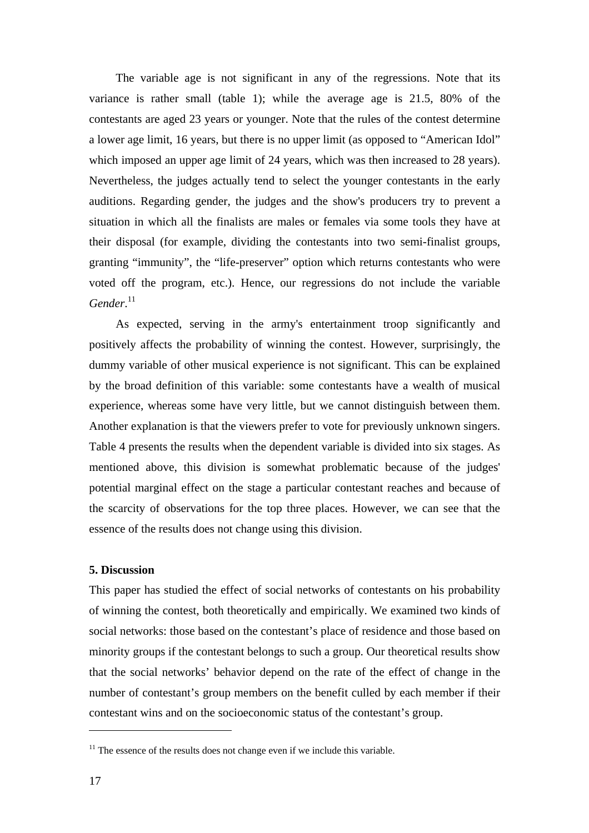The variable age is not significant in any of the regressions. Note that its variance is rather small (table 1); while the average age is 21.5, 80% of the contestants are aged 23 years or younger. Note that the rules of the contest determine a lower age limit, 16 years, but there is no upper limit (as opposed to "American Idol" which imposed an upper age limit of 24 years, which was then increased to 28 years). Nevertheless, the judges actually tend to select the younger contestants in the early auditions. Regarding gender, the judges and the show's producers try to prevent a situation in which all the finalists are males or females via some tools they have at their disposal (for example, dividing the contestants into two semi-finalist groups, granting "immunity", the "life-preserver" option which returns contestants who were voted off the program, etc.). Hence, our regressions do not include the variable Gender.<sup>11</sup>

As expected, serving in the army's entertainment troop significantly and positively affects the probability of winning the contest. However, surprisingly, the dummy variable of other musical experience is not significant. This can be explained by the broad definition of this variable: some contestants have a wealth of musical experience, whereas some have very little, but we cannot distinguish between them. Another explanation is that the viewers prefer to vote for previously unknown singers. Table 4 presents the results when the dependent variable is divided into six stages. As mentioned above, this division is somewhat problematic because of the judges' potential marginal effect on the stage a particular contestant reaches and because of the scarcity of observations for the top three places. However, we can see that the essence of the results does not change using this division.

#### **5. Discussion**

This paper has studied the effect of social networks of contestants on his probability of winning the contest, both theoretically and empirically. We examined two kinds of social networks: those based on the contestant's place of residence and those based on minority groups if the contestant belongs to such a group. Our theoretical results show that the social networks' behavior depend on the rate of the effect of change in the number of contestant's group members on the benefit culled by each member if their contestant wins and on the socioeconomic status of the contestant's group.

 $11$ <sup>11</sup> The essence of the results does not change even if we include this variable.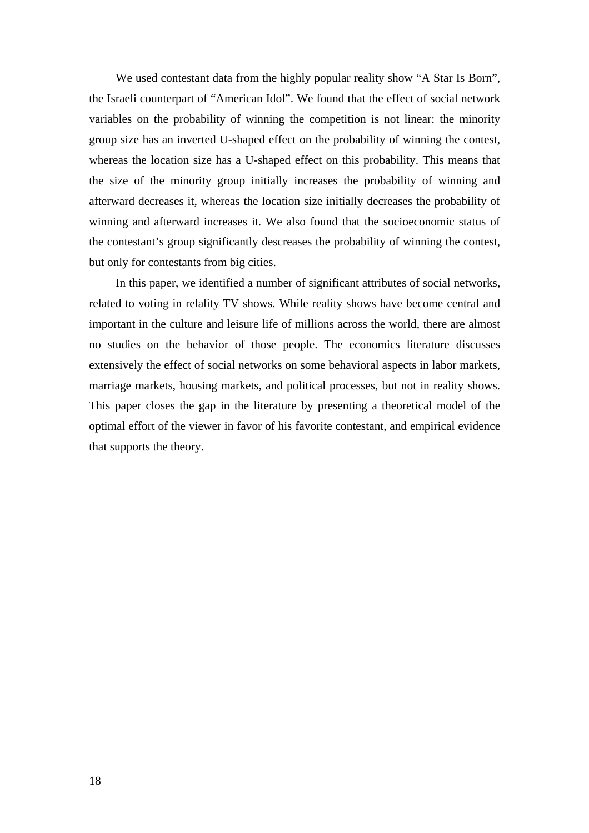We used contestant data from the highly popular reality show "A Star Is Born", the Israeli counterpart of "American Idol". We found that the effect of social network variables on the probability of winning the competition is not linear: the minority group size has an inverted U-shaped effect on the probability of winning the contest, whereas the location size has a U-shaped effect on this probability. This means that the size of the minority group initially increases the probability of winning and afterward decreases it, whereas the location size initially decreases the probability of winning and afterward increases it. We also found that the socioeconomic status of the contestant's group significantly descreases the probability of winning the contest, but only for contestants from big cities.

In this paper, we identified a number of significant attributes of social networks, related to voting in relality TV shows. While reality shows have become central and important in the culture and leisure life of millions across the world, there are almost no studies on the behavior of those people. The economics literature discusses extensively the effect of social networks on some behavioral aspects in labor markets, marriage markets, housing markets, and political processes, but not in reality shows. This paper closes the gap in the literature by presenting a theoretical model of the optimal effort of the viewer in favor of his favorite contestant, and empirical evidence that supports the theory.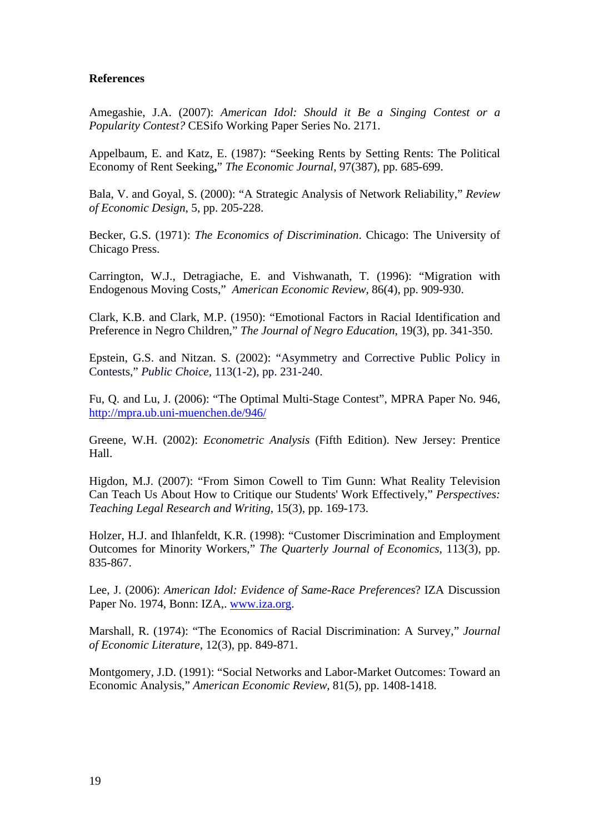#### **References**

Amegashie, J.A. (2007): *American Idol: Should it Be a Singing Contest or a Popularity Contest?* CESifo Working Paper Series No. 2171.

Appelbaum, E. and Katz, E. (1987): "Seeking Rents by Setting Rents: The Political Economy of Rent Seeking**,**" *The Economic Journal*, 97(387), pp. 685-699.

Bala, V. and Goyal, S. (2000): "A Strategic Analysis of Network Reliability," *Review of Economic Design*, 5, pp. 205-228.

Becker, G.S. (1971): *The Economics of Discrimination*. Chicago: The University of Chicago Press.

Carrington, W.J., Detragiache, E. and Vishwanath, T. (1996): "Migration with Endogenous Moving Costs," *American Economic Review,* 86(4), pp. 909-930.

Clark, K.B. and Clark, M.P. (1950): "Emotional Factors in Racial Identification and Preference in Negro Children," *The Journal of Negro Education*, 19(3), pp. 341-350.

Epstein, G.S. and Nitzan. S. (2002): "Asymmetry and Corrective Public Policy in Contests," *Public Choice,* 113(1-2), pp. 231-240.

Fu, Q. and Lu, J. (2006): "The Optimal Multi-Stage Contest", MPRA Paper No. 946, http://mpra.ub.uni-muenchen.de/946/

Greene, W.H. (2002): *Econometric Analysis* (Fifth Edition). New Jersey: Prentice Hall.

Higdon, M.J. (2007): "From Simon Cowell to Tim Gunn: What Reality Television Can Teach Us About How to Critique our Students' Work Effectively," *Perspectives: Teaching Legal Research and Writing*, 15(3), pp. 169-173.

 Holzer, H.J. and Ihlanfeldt, K.R. (1998): "Customer Discrimination and Employment Outcomes for Minority Workers," *The Quarterly Journal of Economics,* 113(3), pp. 835-867.

Lee, J. (2006): *American Idol: Evidence of Same-Race Preferences*? IZA Discussion Paper No. 1974, Bonn: IZA,. www.iza.org.

Marshall, R. (1974): "The Economics of Racial Discrimination: A Survey," *Journal of Economic Literature*, 12(3), pp. 849-871.

Montgomery, J.D. (1991): "Social Networks and Labor-Market Outcomes: Toward an Economic Analysis," *American Economic Review,* 81(5), pp. 1408-1418.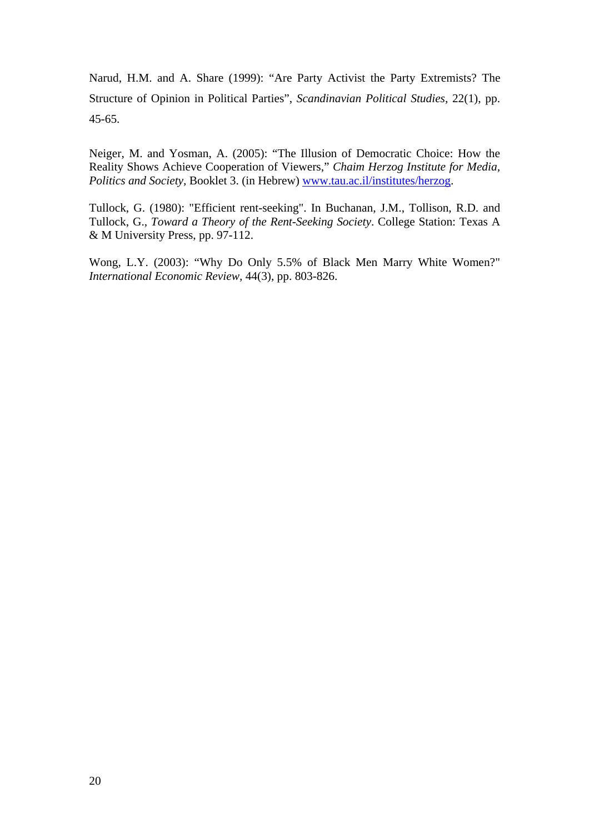Narud, H.M. and A. Share (1999): "Are Party Activist the Party Extremists? The Structure of Opinion in Political Parties", *Scandinavian Political Studies,* 22(1), pp. 45-65.

Neiger, M. and Yosman, A. (2005): "The Illusion of Democratic Choice: How the Reality Shows Achieve Cooperation of Viewers," *Chaim Herzog Institute for Media, Politics and Society,* Booklet 3. (in Hebrew) www.tau.ac.il/institutes/herzog.

Tullock, G. (1980): "Efficient rent-seeking". In Buchanan, J.M., Tollison, R.D. and Tullock, G., *Toward a Theory of the Rent-Seeking Society*. College Station: Texas A & M University Press, pp. 97-112.

Wong, L.Y. (2003): "Why Do Only 5.5% of Black Men Marry White Women?" *International Economic Review,* 44(3), pp. 803-826.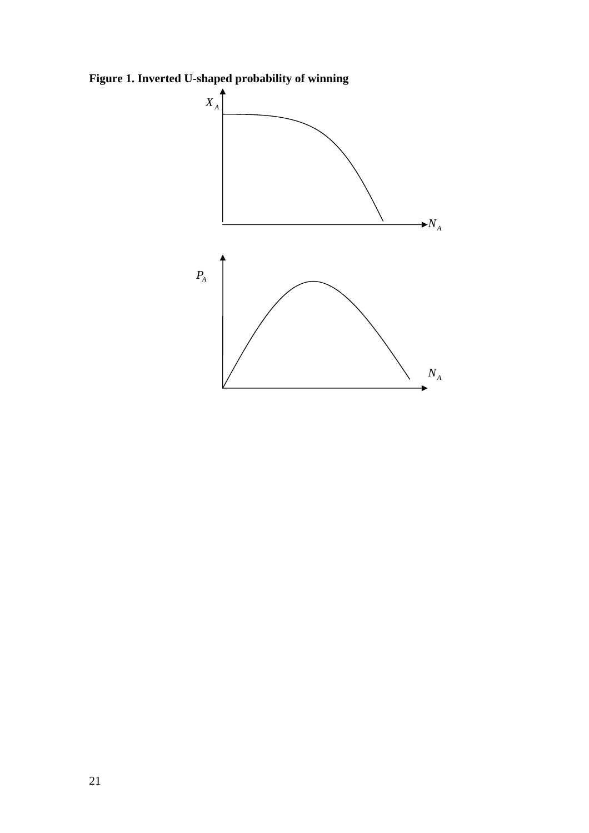**Figure 1. Inverted U-shaped probability of winning**

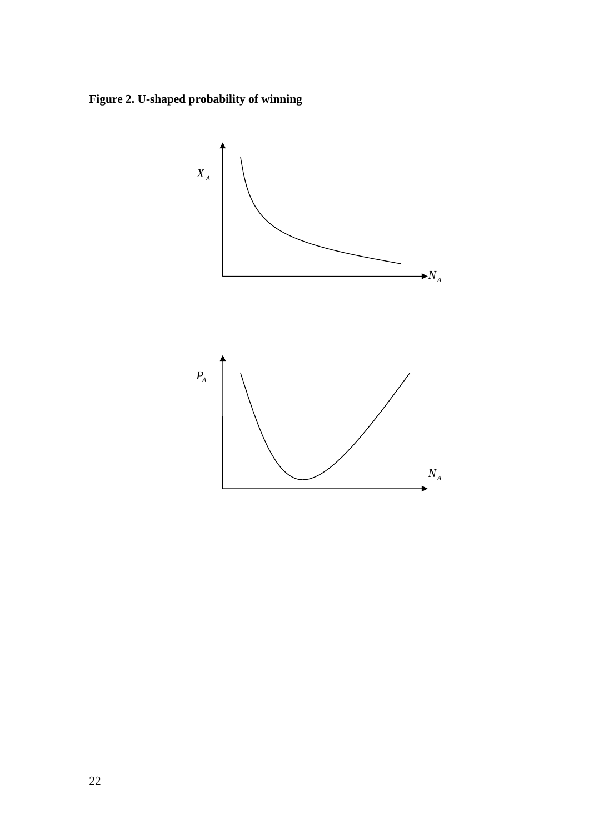**Figure 2. U-shaped probability of winning** 

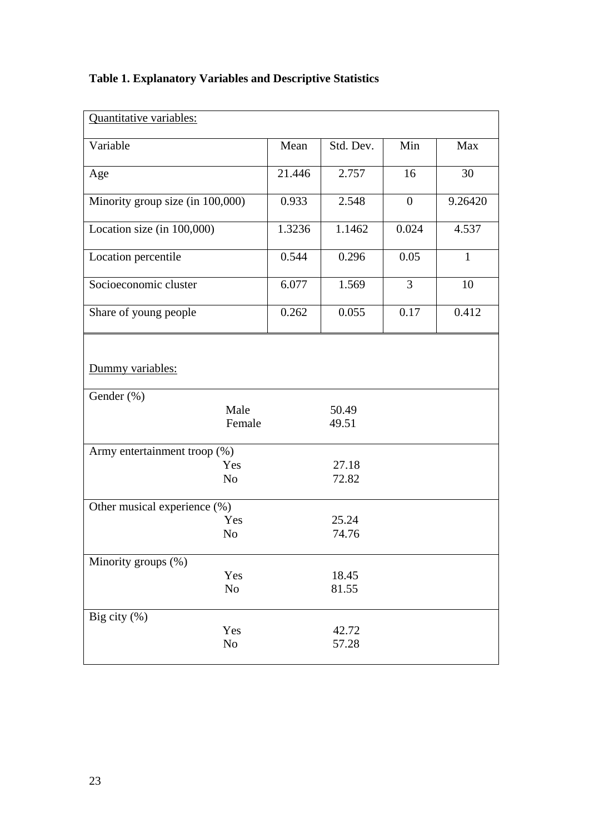| <b>Table 1. Explanatory Variables and Descriptive Statistics</b> |  |  |
|------------------------------------------------------------------|--|--|
|------------------------------------------------------------------|--|--|

| Quantitative variables:                                            |        |                |                |         |
|--------------------------------------------------------------------|--------|----------------|----------------|---------|
| Variable                                                           | Mean   | Std. Dev.      | Min            | Max     |
| Age                                                                | 21.446 | 2.757          | 16             | 30      |
| Minority group size (in 100,000)                                   | 0.933  | 2.548          | $\overline{0}$ | 9.26420 |
| Location size (in 100,000)                                         | 1.3236 | 1.1462         | 0.024          | 4.537   |
| Location percentile                                                | 0.544  | 0.296          | 0.05           | 1       |
| Socioeconomic cluster                                              | 6.077  | 1.569          | $\mathfrak{Z}$ | 10      |
| Share of young people                                              | 0.262  | 0.055          | 0.17           | 0.412   |
| Dummy variables:<br>Gender (%)                                     |        |                |                |         |
| Male<br>Female                                                     |        | 50.49<br>49.51 |                |         |
| Army entertainment troop $\overline{(*)}$<br>Yes<br>N <sub>o</sub> |        | 27.18<br>72.82 |                |         |
| Other musical experience (%)                                       |        |                |                |         |
| Yes<br>N <sub>o</sub>                                              |        | 25.24<br>74.76 |                |         |
| Minority groups (%)                                                |        |                |                |         |
| Yes<br>N <sub>o</sub>                                              |        | 18.45<br>81.55 |                |         |
| Big city $(\% )$<br>Yes<br>$\rm No$                                |        | 42.72<br>57.28 |                |         |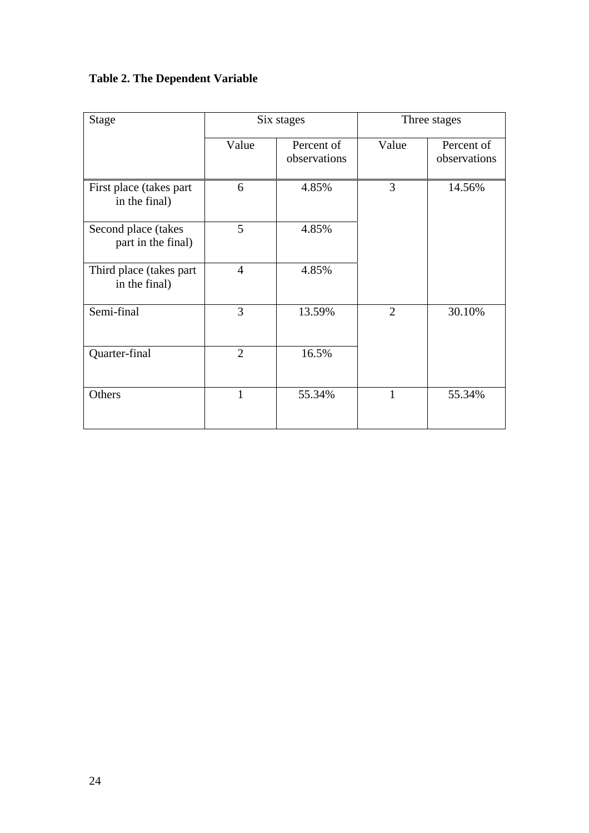### **Table 2. The Dependent Variable**

| <b>Stage</b>                              | Six stages     |                            | Three stages   |                            |
|-------------------------------------------|----------------|----------------------------|----------------|----------------------------|
|                                           | Value          | Percent of<br>observations | Value          | Percent of<br>observations |
| First place (takes part)<br>in the final) | 6              | 4.85%                      | 3              | 14.56%                     |
| Second place (takes<br>part in the final) | 5              | 4.85%                      |                |                            |
| Third place (takes part)<br>in the final) | $\overline{4}$ | 4.85%                      |                |                            |
| Semi-final                                | 3              | 13.59%                     | $\overline{2}$ | 30.10%                     |
| Quarter-final                             | $\overline{2}$ | 16.5%                      |                |                            |
| Others                                    | 1              | 55.34%                     | 1              | 55.34%                     |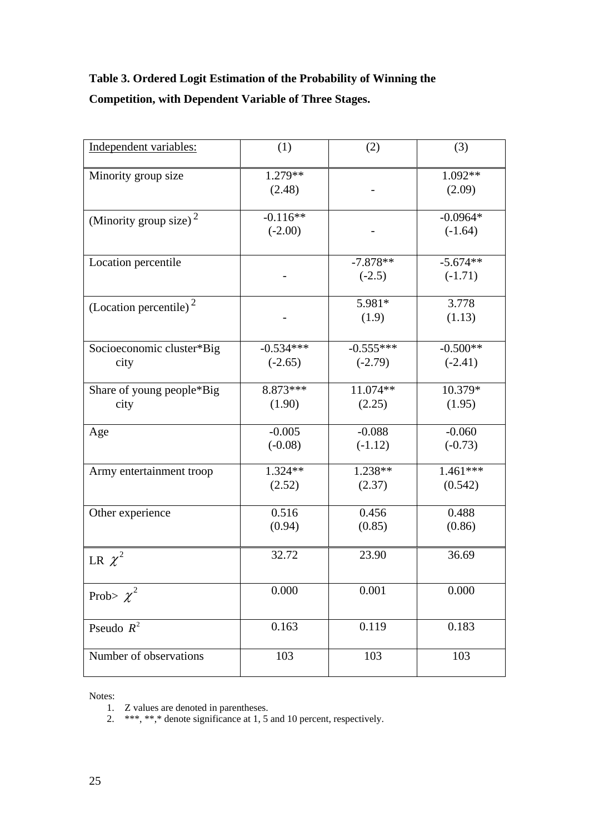## **Table 3. Ordered Logit Estimation of the Probability of Winning the Competition, with Dependent Variable of Three Stages.**

| Independent variables:             | (1)                      | (2)                      | (3)                     |
|------------------------------------|--------------------------|--------------------------|-------------------------|
| Minority group size                | $1.279**$<br>(2.48)      |                          | 1.092**<br>(2.09)       |
| (Minority group size) $2$          | $-0.116**$<br>$(-2.00)$  |                          | $-0.0964*$<br>$(-1.64)$ |
| Location percentile                |                          | $-7.878**$<br>$(-2.5)$   | $-5.674**$<br>$(-1.71)$ |
| (Location percentile) <sup>2</sup> |                          | 5.981*<br>(1.9)          | 3.778<br>(1.13)         |
| Socioeconomic cluster*Big<br>city  | $-0.534***$<br>$(-2.65)$ | $-0.555***$<br>$(-2.79)$ | $-0.500**$<br>$(-2.41)$ |
| Share of young people*Big<br>city  | $8.873***$<br>(1.90)     | 11.074 **<br>(2.25)      | 10.379*<br>(1.95)       |
| Age                                | $-0.005$<br>$(-0.08)$    | $-0.088$<br>$(-1.12)$    | $-0.060$<br>$(-0.73)$   |
| Army entertainment troop           | 1.324**<br>(2.52)        | $1.238**$<br>(2.37)      | $1.461***$<br>(0.542)   |
| Other experience                   | 0.516<br>(0.94)          | 0.456<br>(0.85)          | 0.488<br>(0.86)         |
| LR $\chi^2$                        | 32.72                    | 23.90                    | 36.69                   |
| Prob> $\chi^2$                     | 0.000                    | 0.001                    | 0.000                   |
| Pseudo $R^2$                       | 0.163                    | 0.119                    | 0.183                   |
| Number of observations             | 103                      | 103                      | 103                     |

Notes:

- 1. Z values are denoted in parentheses.
- 2. \*\*\*, \*\*,\* denote significance at 1, 5 and 10 percent, respectively.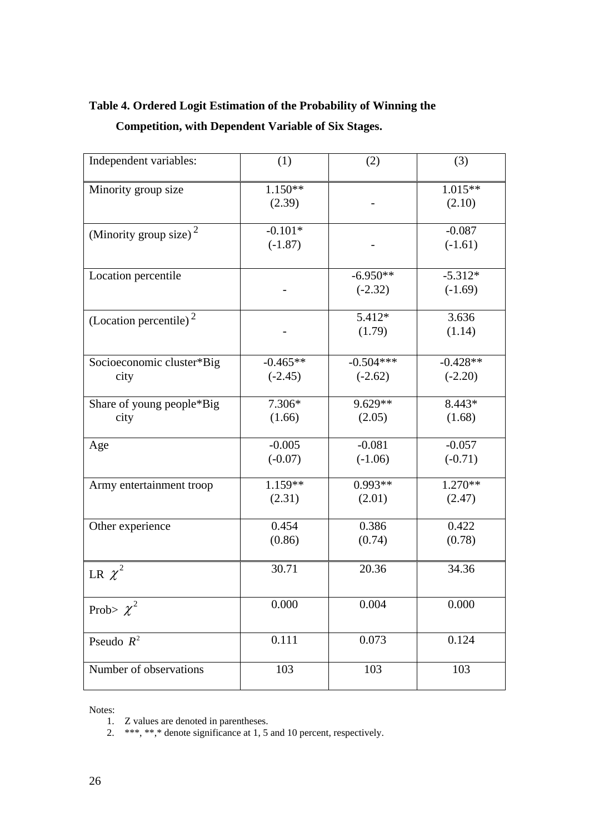## **Table 4. Ordered Logit Estimation of the Probability of Winning the Competition, with Dependent Variable of Six Stages.**

| Independent variables:             | (1)                     | (2)                      | (3)                     |
|------------------------------------|-------------------------|--------------------------|-------------------------|
| Minority group size                | $1.150**$<br>(2.39)     |                          | $1.015**$<br>(2.10)     |
| (Minority group size) $2$          | $-0.101*$<br>$(-1.87)$  |                          | $-0.087$<br>$(-1.61)$   |
| Location percentile                |                         | $-6.950**$<br>$(-2.32)$  | $-5.312*$<br>$(-1.69)$  |
| (Location percentile) <sup>2</sup> |                         | 5.412*<br>(1.79)         | 3.636<br>(1.14)         |
| Socioeconomic cluster*Big<br>city  | $-0.465**$<br>$(-2.45)$ | $-0.504***$<br>$(-2.62)$ | $-0.428**$<br>$(-2.20)$ |
| Share of young people*Big<br>city  | 7.306*<br>(1.66)        | 9.629**<br>(2.05)        | $8.443*$<br>(1.68)      |
| Age                                | $-0.005$<br>$(-0.07)$   | $-0.081$<br>$(-1.06)$    | $-0.057$<br>$(-0.71)$   |
| Army entertainment troop           | 1.159**<br>(2.31)       | $0.993**$<br>(2.01)      | $1.270**$<br>(2.47)     |
| Other experience                   | 0.454<br>(0.86)         | 0.386<br>(0.74)          | 0.422<br>(0.78)         |
| LR $\chi^2$                        | 30.71                   | 20.36                    | 34.36                   |
| Prob> $\chi^2$                     | 0.000                   | 0.004                    | 0.000                   |
| Pseudo $R^2$                       | 0.111                   | 0.073                    | 0.124                   |
| Number of observations             | 103                     | 103                      | 103                     |

Notes:

2. \*\*\*, \*\*,\* denote significance at 1, 5 and 10 percent, respectively.

<sup>1.</sup> Z values are denoted in parentheses.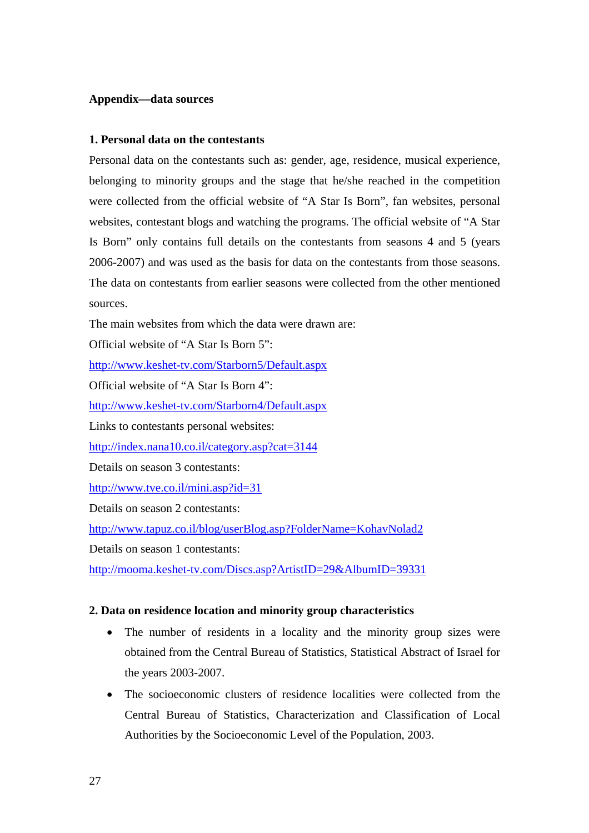#### **Appendix—data sources**

#### **1. Personal data on the contestants**

Personal data on the contestants such as: gender, age, residence, musical experience, belonging to minority groups and the stage that he/she reached in the competition were collected from the official website of "A Star Is Born", fan websites, personal websites, contestant blogs and watching the programs. The official website of "A Star Is Born" only contains full details on the contestants from seasons 4 and 5 (years 2006-2007) and was used as the basis for data on the contestants from those seasons. The data on contestants from earlier seasons were collected from the other mentioned sources.

The main websites from which the data were drawn are:

Official website of "A Star Is Born 5":

http://www.keshet-tv.com/Starborn5/Default.aspx

Official website of "A Star Is Born 4":

http://www.keshet-tv.com/Starborn4/Default.aspx

Links to contestants personal websites:

http://index.nana10.co.il/category.asp?cat=3144

Details on season 3 contestants:

http://www.tve.co.il/mini.asp?id=31

Details on season 2 contestants:

http://www.tapuz.co.il/blog/userBlog.asp?FolderName=KohavNolad2

Details on season 1 contestants:

http://mooma.keshet-tv.com/Discs.asp?ArtistID=29&AlbumID=39331

#### **2. Data on residence location and minority group characteristics**

- The number of residents in a locality and the minority group sizes were obtained from the Central Bureau of Statistics, Statistical Abstract of Israel for the years 2003-2007.
- The socioeconomic clusters of residence localities were collected from the Central Bureau of Statistics, Characterization and Classification of Local Authorities by the Socioeconomic Level of the Population, 2003.